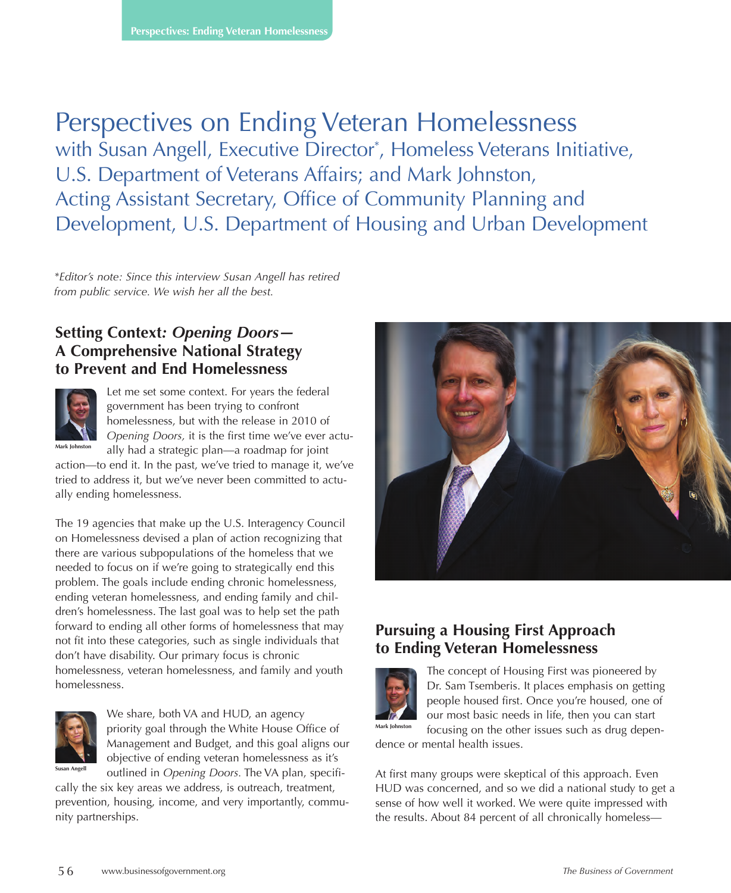# Perspectives on Ending Veteran Homelessness with Susan Angell, Executive Director<sup>\*</sup>, Homeless Veterans Initiative, U.S. Department of Veterans Affairs; and Mark Johnston, Acting Assistant Secretary, Office of Community Planning and Development, U.S. Department of Housing and Urban Development

*\*Editor's note: Since this interview Susan Angell has retired from public service. We wish her all the best.* 

#### **Setting Context***: Opening Doors—* **A Comprehensive National Strategy to Prevent and End Homelessness**



Let me set some context. For years the federal government has been trying to confront homelessness, but with the release in 2010 of *Opening Doors,* it is the first time we've ever actu-

ally had a strategic plan—a roadmap for joint action—to end it. In the past, we've tried to manage it, we've tried to address it, but we've never been committed to actually ending homelessness.

The 19 agencies that make up the U.S. Interagency Council on Homelessness devised a plan of action recognizing that there are various subpopulations of the homeless that we needed to focus on if we're going to strategically end this problem. The goals include ending chronic homelessness, ending veteran homelessness, and ending family and children's homelessness. The last goal was to help set the path forward to ending all other forms of homelessness that may not fit into these categories, such as single individuals that don't have disability. Our primary focus is chronic homelessness, veteran homelessness, and family and youth homelessness.



We share, both VA and HUD, an agency priority goal through the White House Office of Management and Budget, and this goal aligns our objective of ending veteran homelessness as it's outlined in *Opening Doors.* The VA plan, specifi-

cally the six key areas we address, is outreach, treatment, prevention, housing, income, and very importantly, community partnerships.



## **Pursuing a Housing First Approach to Ending Veteran Homelessness**



The concept of Housing First was pioneered by Dr. Sam Tsemberis. It places emphasis on getting people housed first. Once you're housed, one of our most basic needs in life, then you can start focusing on the other issues such as drug depen-

dence or mental health issues.

At first many groups were skeptical of this approach. Even HUD was concerned, and so we did a national study to get a sense of how well it worked. We were quite impressed with the results. About 84 percent of all chronically homeless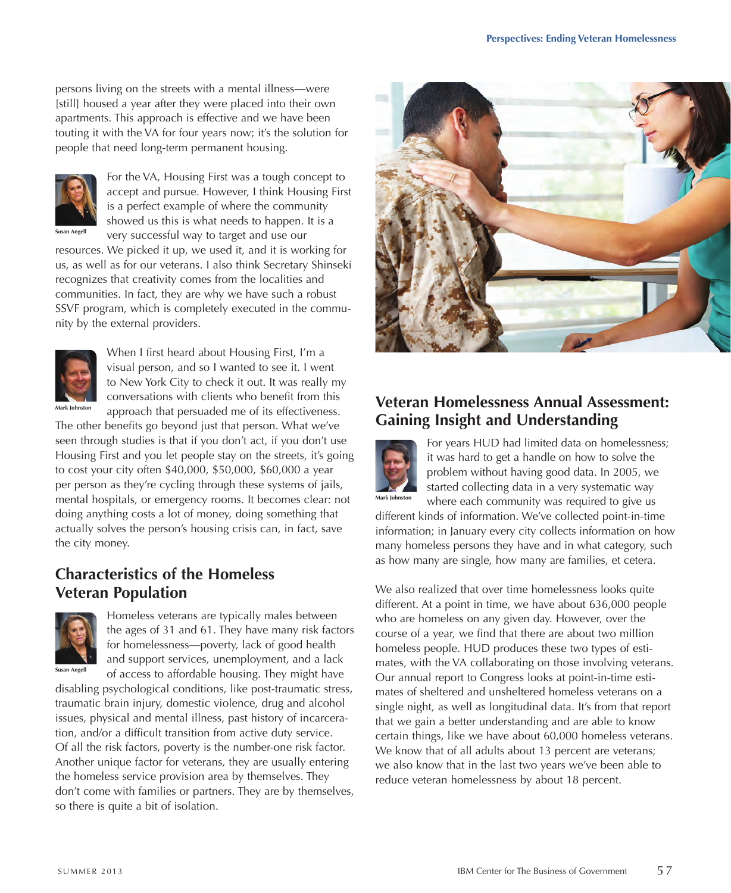persons living on the streets with a mental illness—were [still] housed a year after they were placed into their own apartments. This approach is effective and we have been touting it with the VA for four years now; it's the solution for people that need long-term permanent housing.



For the VA, Housing First was a tough concept to accept and pursue. However, I think Housing First is a perfect example of where the community showed us this is what needs to happen. It is a very successful way to target and use our

resources. We picked it up, we used it, and it is working for us, as well as for our veterans. I also think Secretary Shinseki recognizes that creativity comes from the localities and communities. In fact, they are why we have such a robust SSVF program, which is completely executed in the community by the external providers.



When I first heard about Housing First, I'm a visual person, and so I wanted to see it. I went to New York City to check it out. It was really my conversations with clients who benefit from this approach that persuaded me of its effectiveness.

The other benefits go beyond just that person. What we've seen through studies is that if you don't act, if you don't use Housing First and you let people stay on the streets, it's going to cost your city often \$40,000, \$50,000, \$60,000 a year per person as they're cycling through these systems of jails, mental hospitals, or emergency rooms. It becomes clear: not doing anything costs a lot of money, doing something that actually solves the person's housing crisis can, in fact, save the city money.

## **Characteristics of the Homeless Veteran Population**



**Susan Angell**

Homeless veterans are typically males between the ages of 31 and 61. They have many risk factors for homelessness—poverty, lack of good health and support services, unemployment, and a lack of access to affordable housing. They might have

disabling psychological conditions, like post-traumatic stress, traumatic brain injury, domestic violence, drug and alcohol issues, physical and mental illness, past history of incarceration, and/or a difficult transition from active duty service. Of all the risk factors, poverty is the number-one risk factor. Another unique factor for veterans, they are usually entering the homeless service provision area by themselves. They don't come with families or partners. They are by themselves, so there is quite a bit of isolation.



## **Veteran Homelessness Annual Assessment: Gaining Insight and Understanding**



For years HUD had limited data on homelessness; it was hard to get a handle on how to solve the problem without having good data. In 2005, we started collecting data in a very systematic way where each community was required to give us

different kinds of information. We've collected point-in-time information; in January every city collects information on how many homeless persons they have and in what category, such as how many are single, how many are families, et cetera.

We also realized that over time homelessness looks quite different. At a point in time, we have about 636,000 people who are homeless on any given day. However, over the course of a year, we find that there are about two million homeless people. HUD produces these two types of estimates, with the VA collaborating on those involving veterans. Our annual report to Congress looks at point-in-time estimates of sheltered and unsheltered homeless veterans on a single night, as well as longitudinal data. It's from that report that we gain a better understanding and are able to know certain things, like we have about 60,000 homeless veterans. We know that of all adults about 13 percent are veterans; we also know that in the last two years we've been able to reduce veteran homelessness by about 18 percent.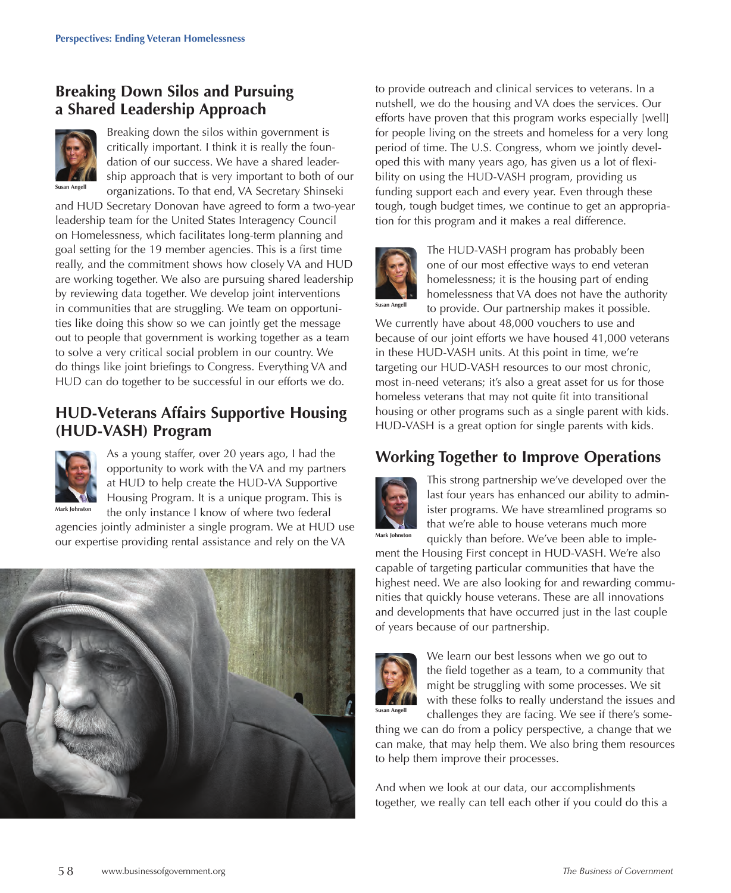## **Breaking Down Silos and Pursuing a Shared Leadership Approach**



Breaking down the silos within government is critically important. I think it is really the foundation of our success. We have a shared leadership approach that is very important to both of our organizations. To that end, VA Secretary Shinseki

and HUD Secretary Donovan have agreed to form a two-year leadership team for the United States Interagency Council on Homelessness, which facilitates long-term planning and goal setting for the 19 member agencies. This is a first time really, and the commitment shows how closely VA and HUD are working together. We also are pursuing shared leadership by reviewing data together. We develop joint interventions in communities that are struggling. We team on opportunities like doing this show so we can jointly get the message out to people that government is working together as a team to solve a very critical social problem in our country. We do things like joint briefings to Congress. Everything VA and HUD can do together to be successful in our efforts we do.

#### **HUD-Veterans Affairs Supportive Housing (HUD-VASH) Program**



As a young staffer, over 20 years ago, I had the opportunity to work with the VA and my partners at HUD to help create the HUD-VA Supportive Housing Program. It is a unique program. This is the only instance I know of where two federal

agencies jointly administer a single program. We at HUD use our expertise providing rental assistance and rely on the VA



to provide outreach and clinical services to veterans. In a nutshell, we do the housing and VA does the services. Our efforts have proven that this program works especially [well] for people living on the streets and homeless for a very long period of time. The U.S. Congress, whom we jointly developed this with many years ago, has given us a lot of flexibility on using the HUD-VASH program, providing us funding support each and every year. Even through these tough, tough budget times, we continue to get an appropriation for this program and it makes a real difference.



The HUD-VASH program has probably been one of our most effective ways to end veteran homelessness; it is the housing part of ending homelessness that VA does not have the authority to provide. Our partnership makes it possible.

We currently have about 48,000 vouchers to use and because of our joint efforts we have housed 41,000 veterans in these HUD-VASH units. At this point in time, we're targeting our HUD-VASH resources to our most chronic, most in-need veterans; it's also a great asset for us for those homeless veterans that may not quite fit into transitional housing or other programs such as a single parent with kids. HUD-VASH is a great option for single parents with kids.

## **Working Together to Improve Operations**



This strong partnership we've developed over the last four years has enhanced our ability to administer programs. We have streamlined programs so that we're able to house veterans much more quickly than before. We've been able to imple-

ment the Housing First concept in HUD-VASH. We're also capable of targeting particular communities that have the highest need. We are also looking for and rewarding communities that quickly house veterans. These are all innovations and developments that have occurred just in the last couple of years because of our partnership.



We learn our best lessons when we go out to the field together as a team, to a community that might be struggling with some processes. We sit with these folks to really understand the issues and challenges they are facing. We see if there's some-

thing we can do from a policy perspective, a change that we can make, that may help them. We also bring them resources to help them improve their processes.

And when we look at our data, our accomplishments together, we really can tell each other if you could do this a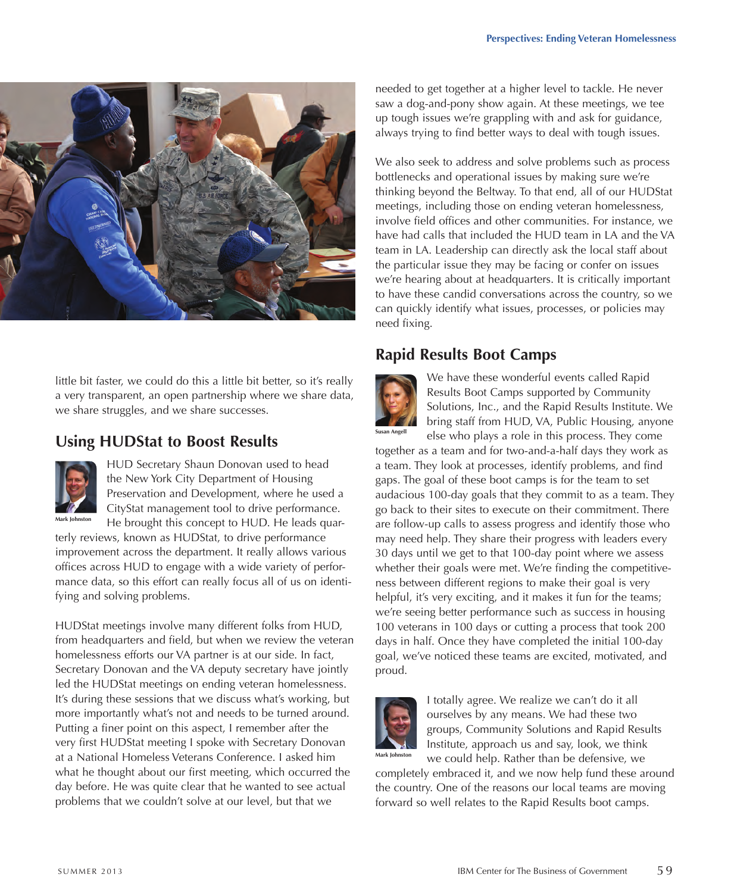

little bit faster, we could do this a little bit better, so it's really a very transparent, an open partnership where we share data, we share struggles, and we share successes.

### **Using HUDStat to Boost Results**



HUD Secretary Shaun Donovan used to head the New York City Department of Housing Preservation and Development, where he used a CityStat management tool to drive performance. He brought this concept to HUD. He leads quar-

terly reviews, known as HUDStat, to drive performance improvement across the department. It really allows various offices across HUD to engage with a wide variety of performance data, so this effort can really focus all of us on identifying and solving problems.

HUDStat meetings involve many different folks from HUD, from headquarters and field, but when we review the veteran homelessness efforts our VA partner is at our side. In fact, Secretary Donovan and the VA deputy secretary have jointly led the HUDStat meetings on ending veteran homelessness. It's during these sessions that we discuss what's working, but more importantly what's not and needs to be turned around. Putting a finer point on this aspect, I remember after the very first HUDStat meeting I spoke with Secretary Donovan at a National Homeless Veterans Conference. I asked him what he thought about our first meeting, which occurred the day before. He was quite clear that he wanted to see actual problems that we couldn't solve at our level, but that we

needed to get together at a higher level to tackle. He never saw a dog-and-pony show again. At these meetings, we tee up tough issues we're grappling with and ask for guidance, always trying to find better ways to deal with tough issues.

We also seek to address and solve problems such as process bottlenecks and operational issues by making sure we're thinking beyond the Beltway. To that end, all of our HUDStat meetings, including those on ending veteran homelessness, involve field offices and other communities. For instance, we have had calls that included the HUD team in LA and the VA team in LA. Leadership can directly ask the local staff about the particular issue they may be facing or confer on issues we're hearing about at headquarters. It is critically important to have these candid conversations across the country, so we can quickly identify what issues, processes, or policies may need fixing.

## **Rapid Results Boot Camps**



We have these wonderful events called Rapid Results Boot Camps supported by Community Solutions, Inc., and the Rapid Results Institute. We bring staff from HUD, VA, Public Housing, anyone else who plays a role in this process. They come

together as a team and for two-and-a-half days they work as a team. They look at processes, identify problems, and find gaps. The goal of these boot camps is for the team to set audacious 100-day goals that they commit to as a team. They go back to their sites to execute on their commitment. There are follow-up calls to assess progress and identify those who may need help. They share their progress with leaders every 30 days until we get to that 100-day point where we assess whether their goals were met. We're finding the competitiveness between different regions to make their goal is very helpful, it's very exciting, and it makes it fun for the teams; we're seeing better performance such as success in housing 100 veterans in 100 days or cutting a process that took 200 days in half. Once they have completed the initial 100-day goal, we've noticed these teams are excited, motivated, and proud.



I totally agree. We realize we can't do it all ourselves by any means. We had these two groups, Community Solutions and Rapid Results Institute, approach us and say, look, we think we could help. Rather than be defensive, we

completely embraced it, and we now help fund these around the country. One of the reasons our local teams are moving forward so well relates to the Rapid Results boot camps.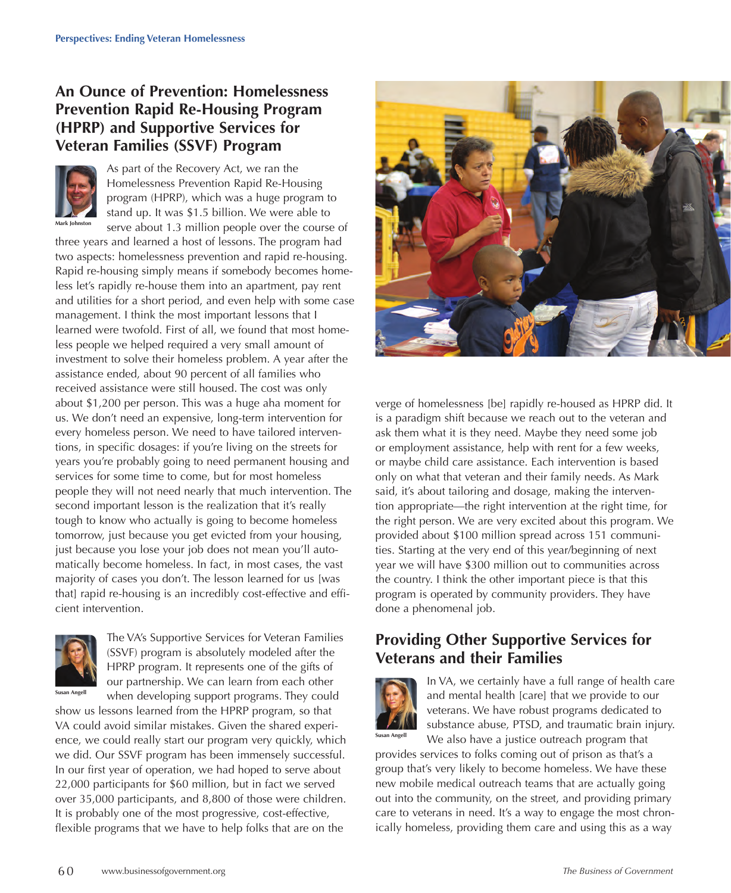## **An Ounce of Prevention: Homelessness Prevention Rapid Re-Housing Program (HPRP) and Supportive Services for Veteran Families (SSVF) Program**



As part of the Recovery Act, we ran the Homelessness Prevention Rapid Re-Housing program (HPRP), which was a huge program to stand up. It was \$1.5 billion. We were able to serve about 1.3 million people over the course of

three years and learned a host of lessons. The program had two aspects: homelessness prevention and rapid re-housing. Rapid re-housing simply means if somebody becomes homeless let's rapidly re-house them into an apartment, pay rent and utilities for a short period, and even help with some case management. I think the most important lessons that I learned were twofold. First of all, we found that most homeless people we helped required a very small amount of investment to solve their homeless problem. A year after the assistance ended, about 90 percent of all families who received assistance were still housed. The cost was only about \$1,200 per person. This was a huge aha moment for us. We don't need an expensive, long-term intervention for every homeless person. We need to have tailored interventions, in specific dosages: if you're living on the streets for years you're probably going to need permanent housing and services for some time to come, but for most homeless people they will not need nearly that much intervention. The second important lesson is the realization that it's really tough to know who actually is going to become homeless tomorrow, just because you get evicted from your housing, just because you lose your job does not mean you'll automatically become homeless. In fact, in most cases, the vast majority of cases you don't. The lesson learned for us [was that] rapid re-housing is an incredibly cost-effective and efficient intervention.



The VA's Supportive Services for Veteran Families (SSVF) program is absolutely modeled after the HPRP program. It represents one of the gifts of our partnership. We can learn from each other when developing support programs. They could

show us lessons learned from the HPRP program, so that VA could avoid similar mistakes. Given the shared experience, we could really start our program very quickly, which we did. Our SSVF program has been immensely successful. In our first year of operation, we had hoped to serve about 22,000 participants for \$60 million, but in fact we served over 35,000 participants, and 8,800 of those were children. It is probably one of the most progressive, cost-effective, flexible programs that we have to help folks that are on the



verge of homelessness [be] rapidly re-housed as HPRP did. It is a paradigm shift because we reach out to the veteran and ask them what it is they need. Maybe they need some job or employment assistance, help with rent for a few weeks, or maybe child care assistance. Each intervention is based only on what that veteran and their family needs. As Mark said, it's about tailoring and dosage, making the intervention appropriate—the right intervention at the right time, for the right person. We are very excited about this program. We provided about \$100 million spread across 151 communities. Starting at the very end of this year/beginning of next year we will have \$300 million out to communities across the country. I think the other important piece is that this program is operated by community providers. They have done a phenomenal job.

#### **Providing Other Supportive Services for Veterans and their Families**



In VA, we certainly have a full range of health care and mental health [care] that we provide to our veterans. We have robust programs dedicated to substance abuse, PTSD, and traumatic brain injury. We also have a justice outreach program that

provides services to folks coming out of prison as that's a group that's very likely to become homeless. We have these new mobile medical outreach teams that are actually going out into the community, on the street, and providing primary care to veterans in need. It's a way to engage the most chronically homeless, providing them care and using this as a way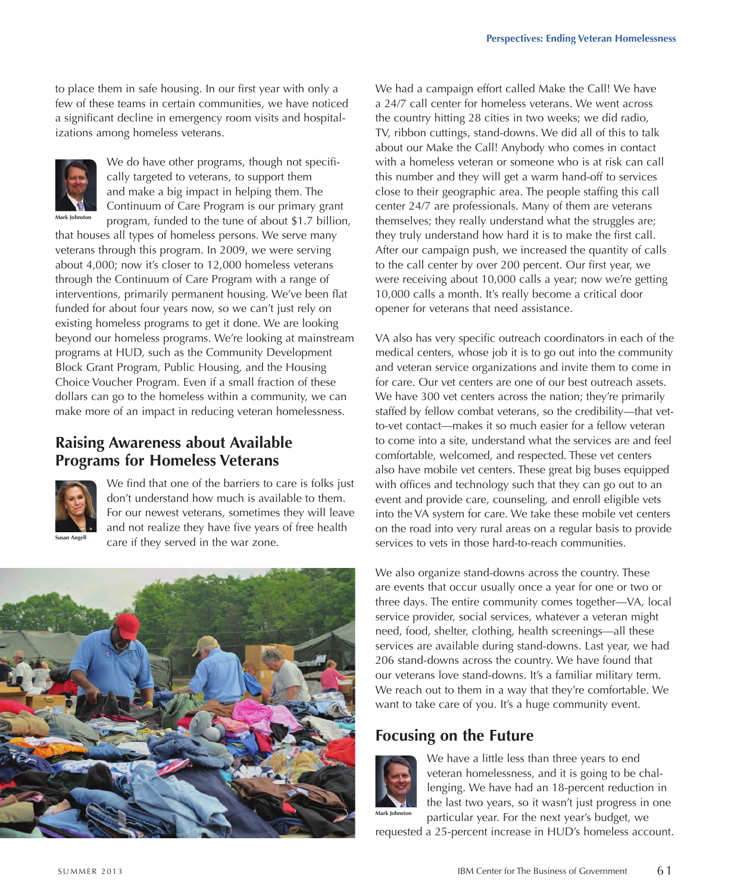to place them in safe housing. In our first year with only a few of these teams in certain communities, we have noticed a significant decline in emergency room visits and hospitalizations among homeless veterans.



We do have other programs, though not specifically targeted to veterans, to support them and make a big impact in helping them. The Continuum of Care Program is our primary grant program, funded to the tune of about \$1.7 billion,

that houses all types of homeless persons. We serve many veterans through this program. In 2009, we were serving about 4,000; now it's closer to 12,000 homeless veterans through the Continuum of Care Program with a range of interventions, primarily permanent housing. We've been flat funded for about four years now, so we can't just rely on existing homeless programs to get it done. We are looking beyond our homeless programs. We're looking at mainstream programs at HUD, such as the Community Development Block Grant Program, Public Housing, and the Housing Choice Voucher Program. Even if a small fraction of these dollars can go to the homeless within a community, we can make more of an impact in reducing veteran homelessness.

#### **Raising Awareness about Available Programs for Homeless Veterans**



We find that one of the barriers to care is folks just don't understand how much is available to them. For our newest veterans, sometimes they will leave and not realize they have five years of free health care if they served in the war zone.



We had a campaign effort called Make the Call! We have a 24/7 call center for homeless veterans. We went across the country hitting 28 cities in two weeks; we did radio, TV, ribbon cuttings, stand-downs. We did all of this to talk about our Make the Call! Anybody who comes in contact with a homeless veteran or someone who is at risk can call this number and they will get a warm hand-off to services close to their geographic area. The people staffing this call center 24/7 are professionals. Many of them are veterans themselves; they really understand what the struggles are; they truly understand how hard it is to make the first call. After our campaign push, we increased the quantity of calls to the call center by over 200 percent. Our first year, we were receiving about 10,000 calls a year; now we're getting 10,000 calls a month. It's really become a critical door opener for veterans that need assistance.

VA also has very specific outreach coordinators in each of the medical centers, whose job it is to go out into the community and veteran service organizations and invite them to come in for care. Our vet centers are one of our best outreach assets. We have 300 vet centers across the nation; they're primarily staffed by fellow combat veterans, so the credibility—that vetto-vet contact—makes it so much easier for a fellow veteran to come into a site, understand what the services are and feel comfortable, welcomed, and respected. These vet centers also have mobile vet centers. These great big buses equipped with offices and technology such that they can go out to an event and provide care, counseling, and enroll eligible vets into the VA system for care. We take these mobile vet centers on the road into very rural areas on a regular basis to provide services to vets in those hard-to-reach communities.

We also organize stand-downs across the country. These are events that occur usually once a year for one or two or three days. The entire community comes together—VA, local service provider, social services, whatever a veteran might need, food, shelter, clothing, health screenings—all these services are available during stand-downs. Last year, we had 206 stand-downs across the country. We have found that our veterans love stand-downs. It's a familiar military term. We reach out to them in a way that they're comfortable. We want to take care of you. It's a huge community event.

#### **Focusing on the Future**



We have a little less than three years to end veteran homelessness, and it is going to be challenging. We have had an 18-percent reduction in the last two years, so it wasn't just progress in one particular year. For the next year's budget, we

requested a 25-percent increase in HUD's homeless account.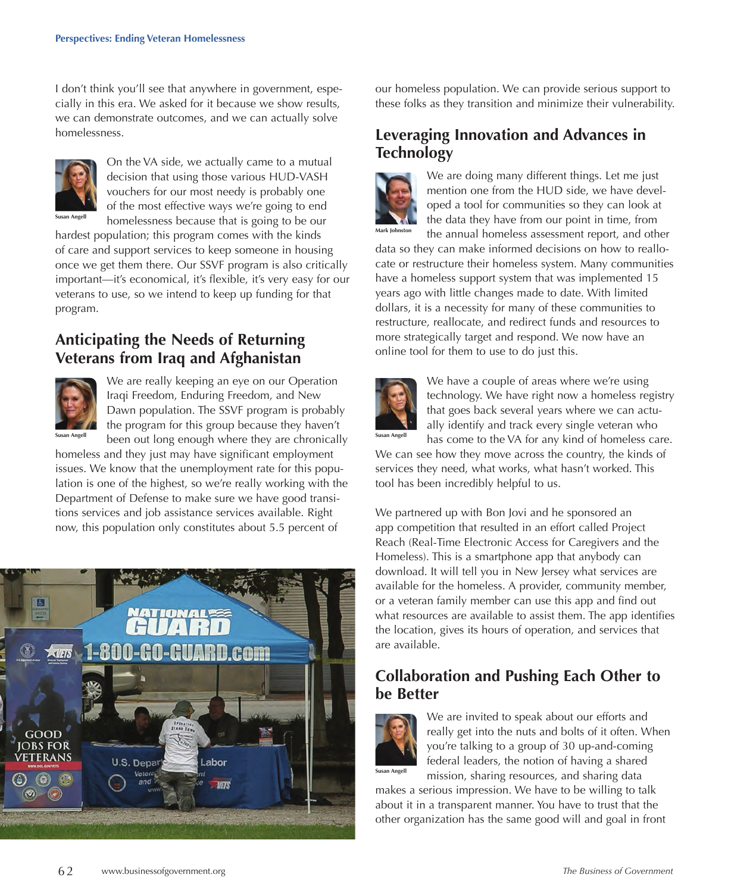I don't think you'll see that anywhere in government, especially in this era. We asked for it because we show results, we can demonstrate outcomes, and we can actually solve homelessness.



**Susan Angell**

On the VA side, we actually came to a mutual decision that using those various HUD-VASH vouchers for our most needy is probably one of the most effective ways we're going to end homelessness because that is going to be our

hardest population; this program comes with the kinds of care and support services to keep someone in housing once we get them there. Our SSVF program is also critically important—it's economical, it's flexible, it's very easy for our veterans to use, so we intend to keep up funding for that program.

#### **Anticipating the Needs of Returning Veterans from Iraq and Afghanistan**



We are really keeping an eye on our Operation Iraqi Freedom, Enduring Freedom, and New Dawn population. The SSVF program is probably the program for this group because they haven't been out long enough where they are chronically

homeless and they just may have significant employment issues. We know that the unemployment rate for this population is one of the highest, so we're really working with the Department of Defense to make sure we have good transitions services and job assistance services available. Right now, this population only constitutes about 5.5 percent of



our homeless population. We can provide serious support to these folks as they transition and minimize their vulnerability.

#### **Leveraging Innovation and Advances in Technology**



We are doing many different things. Let me just mention one from the HUD side, we have developed a tool for communities so they can look at the data they have from our point in time, from the annual homeless assessment report, and other

data so they can make informed decisions on how to reallocate or restructure their homeless system. Many communities have a homeless support system that was implemented 15 years ago with little changes made to date. With limited dollars, it is a necessity for many of these communities to restructure, reallocate, and redirect funds and resources to more strategically target and respond. We now have an online tool for them to use to do just this.



We have a couple of areas where we're using technology. We have right now a homeless registry that goes back several years where we can actually identify and track every single veteran who has come to the VA for any kind of homeless care.

We can see how they move across the country, the kinds of services they need, what works, what hasn't worked. This tool has been incredibly helpful to us.

We partnered up with Bon Jovi and he sponsored an app competition that resulted in an effort called Project Reach (Real-Time Electronic Access for Caregivers and the Homeless). This is a smartphone app that anybody can download. It will tell you in New Jersey what services are available for the homeless. A provider, community member, or a veteran family member can use this app and find out what resources are available to assist them. The app identifies the location, gives its hours of operation, and services that are available.

#### **Collaboration and Pushing Each Other to be Better**



We are invited to speak about our efforts and really get into the nuts and bolts of it often. When you're talking to a group of 30 up-and-coming federal leaders, the notion of having a shared mission, sharing resources, and sharing data

makes a serious impression. We have to be willing to talk about it in a transparent manner. You have to trust that the other organization has the same good will and goal in front